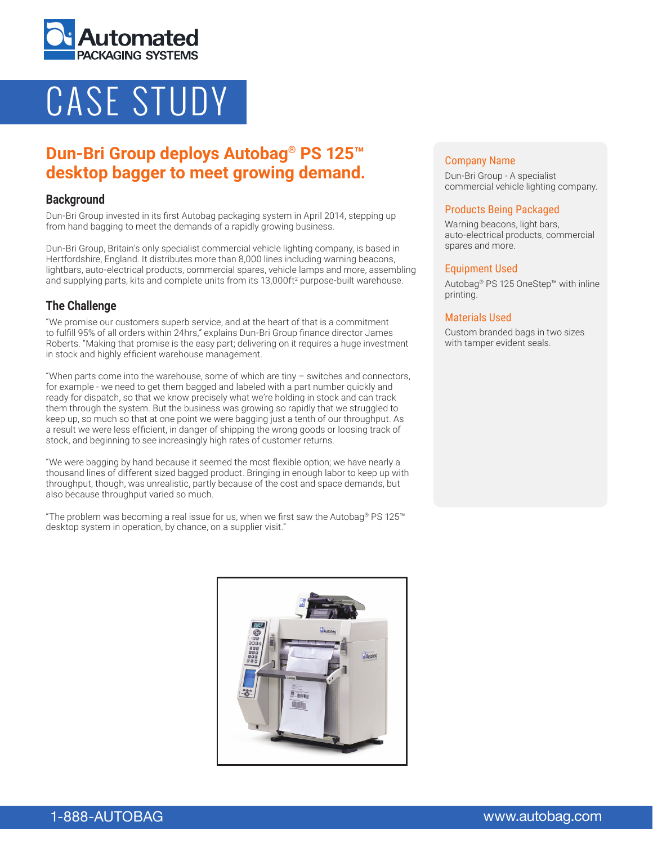

# CASE STUDY

# **Dun-Bri Group deploys Autobag® PS 125™ desktop bagger to meet growing demand.**

### **Background**

Dun-Bri Group invested in its first Autobag packaging system in April 2014, stepping up from hand bagging to meet the demands of a rapidly growing business.

Dun-Bri Group, Britain's only specialist commercial vehicle lighting company, is based in Hertfordshire, England. It distributes more than 8,000 lines including warning beacons, lightbars, auto-electrical products, commercial spares, vehicle lamps and more, assembling and supplying parts, kits and complete units from its  $13,000$ ft<sup>2</sup> purpose-built warehouse.

# **The Challenge**

"We promise our customers superb service, and at the heart of that is a commitment to fulfill 95% of all orders within 24hrs," explains Dun-Bri Group finance director James Roberts. "Making that promise is the easy part; delivering on it requires a huge investment in stock and highly efficient warehouse management.

"When parts come into the warehouse, some of which are tiny – switches and connectors, for example - we need to get them bagged and labeled with a part number quickly and ready for dispatch, so that we know precisely what we're holding in stock and can track them through the system. But the business was growing so rapidly that we struggled to keep up, so much so that at one point we were bagging just a tenth of our throughput. As a result we were less efficient, in danger of shipping the wrong goods or loosing track of stock, and beginning to see increasingly high rates of customer returns.

"We were bagging by hand because it seemed the most flexible option; we have nearly a thousand lines of different sized bagged product. Bringing in enough labor to keep up with throughput, though, was unrealistic, partly because of the cost and space demands, but also because throughput varied so much.

"The problem was becoming a real issue for us, when we first saw the Autobag® PS 125<sup>™</sup> desktop system in operation, by chance, on a supplier visit."

#### Company Name

Dun-Bri Group - A specialist commercial vehicle lighting company.

#### Products Being Packaged

Warning beacons, light bars, auto-electrical products, commercial spares and more.

#### Equipment Used

Autobag® PS 125 OneStep™ with inline printing.

#### Materials Used

Custom branded bags in two sizes with tamper evident seals.